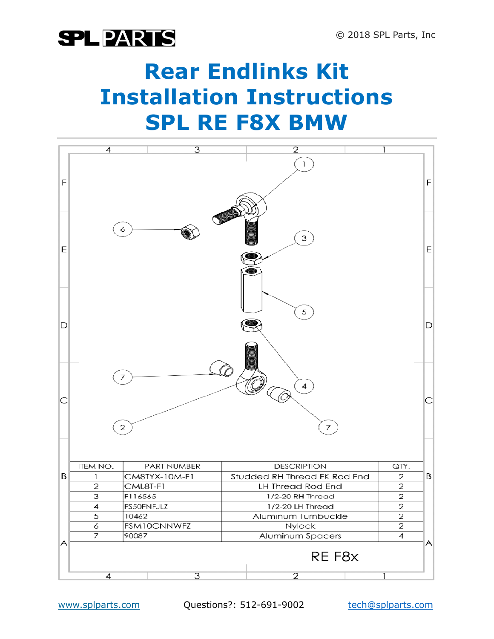### **Rear Endlinks Kit Installation Instructions SPL RE F8X BMW**

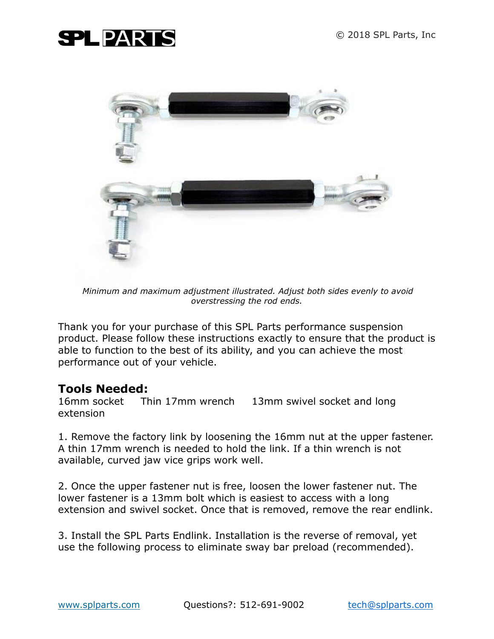

*Minimum and maximum adjustment illustrated. Adjust both sides evenly to avoid overstressing the rod ends.*

Thank you for your purchase of this SPL Parts performance suspension product. Please follow these instructions exactly to ensure that the product is able to function to the best of its ability, and you can achieve the most performance out of your vehicle.

#### **Tools Needed:**

16mm socket Thin 17mm wrench 13mm swivel socket and long extension

1. Remove the factory link by loosening the 16mm nut at the upper fastener. A thin 17mm wrench is needed to hold the link. If a thin wrench is not available, curved jaw vice grips work well.

2. Once the upper fastener nut is free, loosen the lower fastener nut. The lower fastener is a 13mm bolt which is easiest to access with a long extension and swivel socket. Once that is removed, remove the rear endlink.

3. Install the SPL Parts Endlink. Installation is the reverse of removal, yet use the following process to eliminate sway bar preload (recommended).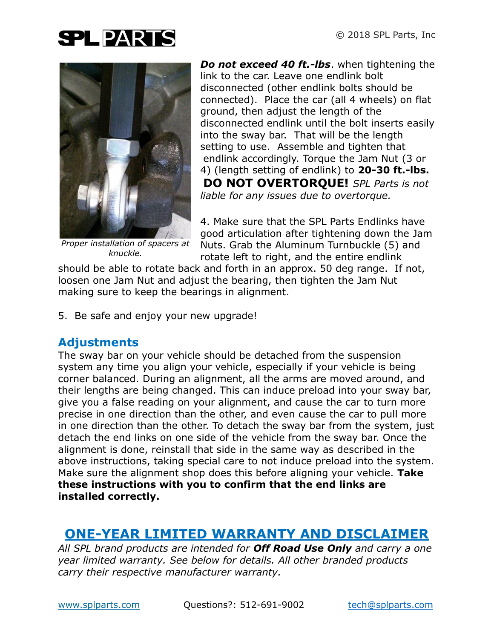

*Proper installation of spacers at knuckle.*

*Do not exceed 40 ft.-lbs*. when tightening the link to the car. Leave one endlink bolt disconnected (other endlink bolts should be connected). Place the car (all 4 wheels) on flat ground, then adjust the length of the disconnected endlink until the bolt inserts easily into the sway bar. That will be the length setting to use. Assemble and tighten that endlink accordingly. Torque the Jam Nut (3 or 4) (length setting of endlink) to **20-30 ft.-lbs. DO NOT OVERTORQUE!** *SPL Parts is not liable for any issues due to overtorque.*

4. Make sure that the SPL Parts Endlinks have good articulation after tightening down the Jam Nuts. Grab the Aluminum Turnbuckle (5) and rotate left to right, and the entire endlink

should be able to rotate back and forth in an approx. 50 deg range. If not, loosen one Jam Nut and adjust the bearing, then tighten the Jam Nut making sure to keep the bearings in alignment.

5. Be safe and enjoy your new upgrade!

#### **Adjustments**

The sway bar on your vehicle should be detached from the suspension system any time you align your vehicle, especially if your vehicle is being corner balanced. During an alignment, all the arms are moved around, and their lengths are being changed. This can induce preload into your sway bar, give you a false reading on your alignment, and cause the car to turn more precise in one direction than the other, and even cause the car to pull more in one direction than the other. To detach the sway bar from the system, just detach the end links on one side of the vehicle from the sway bar. Once the alignment is done, reinstall that side in the same way as described in the above instructions, taking special care to not induce preload into the system. Make sure the alignment shop does this before aligning your vehicle. **Take these instructions with you to confirm that the end links are installed correctly.**

#### **ONE-YEAR LIMITED WARRANTY AND DISCLAIMER**

*All SPL brand products are intended for Off Road Use Only and carry a one year limited warranty. See below for details. All other branded products carry their respective manufacturer warranty.*